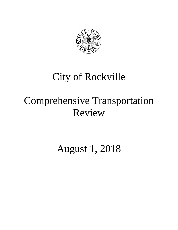

## City of Rockville

# Comprehensive Transportation Review

August 1, 2018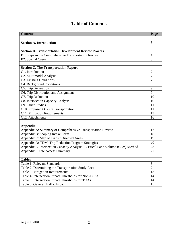| <b>Contents</b>                                                              | Page                |
|------------------------------------------------------------------------------|---------------------|
|                                                                              |                     |
| <b>Section A. Introduction</b>                                               | 3                   |
|                                                                              |                     |
| <b>Section B. Transportation Development Review Process</b>                  |                     |
| B1. Steps in the Comprehensive Transportation Review                         | $\overline{4}$      |
| <b>B2. Special Cases</b>                                                     | 5                   |
|                                                                              |                     |
| <b>Section C. The Transportation Report</b>                                  |                     |
| C1. Introduction                                                             | 7                   |
| C2. Multimodal Analysis                                                      | 7                   |
| C3. Existing Conditions                                                      | 7                   |
| C4. Background Conditions                                                    | 8                   |
| C5. Trip Generation                                                          | 9                   |
| C6. Trip Distribution and Assignment                                         | 9                   |
| C7. Trip Reduction                                                           | 10                  |
| C8. Intersection Capacity Analysis                                           | 10                  |
| C9. Other Studies                                                            | 11                  |
| C10. Proposed On-Site Transportation                                         | 11                  |
| C11. Mitigation Requirements                                                 | 13                  |
| C12. Attachments                                                             | 16                  |
|                                                                              |                     |
| <b>Appendix</b>                                                              |                     |
| Appendix A: Summary of Comprehensive Transportation Review                   | 17                  |
| Appendix B: Scoping Intake Form                                              | 18                  |
| Appendix C: Map of Transit Oriented Areas                                    | 19                  |
| Appendix D: TDM: Trip Reduction Program Strategies                           | 20                  |
| Appendix E: Intersection Capacity Analysis—Critical Lane Volume (CLV) Method | 23                  |
| Appendix F: Site Access Summary                                              | 27                  |
|                                                                              |                     |
| <b>Tables</b>                                                                |                     |
| Table 1: Relevant Standards                                                  | 3<br>$\overline{7}$ |
| Table 2: Determining the Transportation Study Area                           |                     |
| Table 3: Mitigation Requirements                                             | 13                  |
| Table 4: Intersection Impact Thresholds for Non-TOAs                         | 14                  |
| Table 5: Intersection Impact Thresholds for TOAs                             | 14                  |
| Table 6: General Traffic Impact                                              | 15                  |

## **Table of Contents**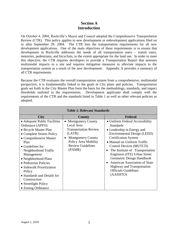### **Section A Introduction**

On October 4, 2004, Rockville's Mayor and Council adopted the Comprehensive Transportation Review (CTR). This policy applies to new development or redevelopment applications filed on or after September 29, 2004. The CTR lists the transportation requirements for all new development applications. One of the main objectives of these requirements is to ensure that development in Rockville addresses the needs of all transportation users – transit users, motorists, pedestrians, and bicyclists, to the extent appropriate for the land use. In order to meet this objective, the CTR requires developers to provide a Transportation Report that assesses multimodal impacts to a site and requires mitigation measures to alleviate impacts to the transportation system as a result of the new development. Appendix A provides a summary of all CTR requirements.

Because the CTR evaluates the overall transportation system from a comprehensive, multimodal perspective, it is fundamentally linked to the goals in City plans and policies. Transportation goals set forth in the City Master Plan form the basis for the methodology, standards, and impact thresholds outlined in the requirements. Development applicants shall comply with the requirements of the CTR and the standards listed in Table 1 as well as other relevant policies as adopted.

| <b>Table 1: Relevant Standards</b>                                                                                                                                                                                                                                                                                                                                                      |                                                                                                                                                                                         |                                                                                                                                                                                                                                                                                                                                                                                                                                                             |  |  |  |
|-----------------------------------------------------------------------------------------------------------------------------------------------------------------------------------------------------------------------------------------------------------------------------------------------------------------------------------------------------------------------------------------|-----------------------------------------------------------------------------------------------------------------------------------------------------------------------------------------|-------------------------------------------------------------------------------------------------------------------------------------------------------------------------------------------------------------------------------------------------------------------------------------------------------------------------------------------------------------------------------------------------------------------------------------------------------------|--|--|--|
| <b>City</b>                                                                                                                                                                                                                                                                                                                                                                             | <b>County</b>                                                                                                                                                                           | <b>Federal</b>                                                                                                                                                                                                                                                                                                                                                                                                                                              |  |  |  |
| • Adequate Public Facilities<br>Ordinance (APFO)<br>• Bicycle Master Plan<br>• Complete Streets Policy<br>• Comprehensive Master<br>Plan<br>• Guidelines for<br>Neighborhood Traffic<br>Management<br>• Neighborhood Plans<br>• Pedestrian Policies<br>• Sidewalk Prioritization<br>Policy<br>• Standards and Details for<br>Construction<br>• Streetlight Policy<br>• Zoning Ordinance | <b>Montgomery County</b><br>Local Area<br><b>Transportation Review</b><br>(LATR)<br><b>Montgomery County</b><br>$\bullet$<br>Policy Area Mobility<br><b>Review Guidelines</b><br>(PAMR) | • Uniform Federal Accessibility<br><b>Standards</b><br>• Leadership in Energy and<br>Environmental Design (LEED)<br><b>Certification System</b><br>• Manual on Uniform Traffic<br>Control Devices (MUTCD)<br>The Institute of Transportation<br>$\bullet$<br>Engineers (ITE) Urban Street<br>Geometric Design Handbook<br><b>American Association of State</b><br>$\bullet$<br><b>Highway and Transportation</b><br><b>Officials Guidelines</b><br>(AASHTO) |  |  |  |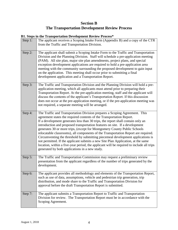## **Section B The Transportation Development Review Process**

#### **B1. Steps in the Transportation Development Review Process\***

| Step 1: | The applicant receives a Scoping Intake Form (Appendix B) and a copy of the CTR<br>from the Traffic and Transportation Division.                                                                                                                                                                                                                                                                                                                                                                                                                                                                                                                                                                                                                                                                            |
|---------|-------------------------------------------------------------------------------------------------------------------------------------------------------------------------------------------------------------------------------------------------------------------------------------------------------------------------------------------------------------------------------------------------------------------------------------------------------------------------------------------------------------------------------------------------------------------------------------------------------------------------------------------------------------------------------------------------------------------------------------------------------------------------------------------------------------|
| Step 2: | The applicant shall submit a Scoping Intake Form to the Traffic and Transportation<br>Division and the Planning Division. Staff will schedule a pre-application meeting<br>(PAM). All site plan, major site plan amendments, project plans, and special<br>exception development applications are required to hold a pre-application area<br>meeting with the community surrounding the proposed development to gain input<br>on the application. This meeting shall occur prior to submitting a final<br>development application and a Transportation Report.                                                                                                                                                                                                                                              |
| Step 3: | The Traffic and Transportation Division and the Planning Division will hold a pre-<br>application meeting, which all applicants must attend prior to preparing their<br>Transportation Report. At the pre-application meeting, staff and the applicant will<br>discuss the contents of the applicant's Transportation Report. If this discussion<br>does not occur at the pre-application meeting, or if the pre-application meeting was<br>not required, a separate meeting will be arranged.                                                                                                                                                                                                                                                                                                              |
| Step 4: | The Traffic and Transportation Division prepares a Scoping Agreement. This<br>agreement states the required contents of the Transportation Report.<br>If a development generates less than 30 trips, the report shall contain only an<br>introduction and proposed transportation features on site. If a development<br>generates 30 or more trips, (except for Montgomery County Public Schools<br>relocatable classrooms), all components of the Transportation Report are required.<br>Circumventing the threshold by submitting piecemeal development applications is<br>not permitted. If the applicant submits a new Site Plan Application, at the same<br>location, within a five-year period, the applicant will be required to include all trips<br>generated by both applications in a new study. |
| Step 5: | The Traffic and Transportation Commission may request a preliminary review<br>presentation from the applicant regardless of the number of trips generated by the<br>development.                                                                                                                                                                                                                                                                                                                                                                                                                                                                                                                                                                                                                            |
| Step 6: | The applicant provides all methodology and elements of the Transportation Report,<br>such as use of data, assumptions, vehicle and pedestrian trip generation, trip<br>distribution, and mode share to the Traffic and Transportation Division for<br>approval before the draft Transportation Report is submitted.                                                                                                                                                                                                                                                                                                                                                                                                                                                                                         |
| Step 7: | The applicant submits a Transportation Report to Traffic and Transportation<br>Division for review. The Transportation Report must be in accordance with the<br>Scoping Agreement.                                                                                                                                                                                                                                                                                                                                                                                                                                                                                                                                                                                                                          |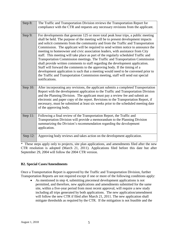| Step 8:  | The Traffic and Transportation Division reviews the Transportation Report for<br>compliance with the CTR and requests any necessary revisions from the applicant.                                                                                                                                                                                                                                                                                                                                                                                                                                                                                                                                                                                                                                                                                                                                                                                              |
|----------|----------------------------------------------------------------------------------------------------------------------------------------------------------------------------------------------------------------------------------------------------------------------------------------------------------------------------------------------------------------------------------------------------------------------------------------------------------------------------------------------------------------------------------------------------------------------------------------------------------------------------------------------------------------------------------------------------------------------------------------------------------------------------------------------------------------------------------------------------------------------------------------------------------------------------------------------------------------|
| Step 9:  | For developments that generate 125 or more total peak hour trips, a public meeting<br>shall be held. The purpose of the meeting will be to present development impacts<br>and solicit comments from the community and from the Traffic and Transportation<br>Commission. The applicant will be required to send written notice to announce the<br>meeting to homeowner and civic association leaders, with assistance from City<br>staff. This meeting will take place as part of the regularly scheduled Traffic and<br>Transportation Commission meetings. The Traffic and Transportation Commission<br>shall provide written comments to staff regarding the development application.<br>Staff will forward the comments to the approving body. If the timing of a<br>development application is such that a meeting would need to be convened prior to<br>the Traffic and Transportation Commission meeting, staff will send out special<br>notifications. |
| Step 10: | After incorporating any revisions, the applicant submits a completed Transportation<br>Report with the development application to the Traffic and Transportation Division<br>and the Planning Division. The applicant must pay a review fee and submit an<br>electronic and paper copy of the report. Revisions to the Transportation Report, if<br>necessary, must be submitted at least six weeks prior to the scheduled meeting date<br>of the approving body.                                                                                                                                                                                                                                                                                                                                                                                                                                                                                              |
| Step 11: | Following a final review of the Transportation Report, the Traffic and<br>Transportation Division will provide a memorandum to the Planning Division<br>summarizing the Division's recommendation regarding the development<br>application.                                                                                                                                                                                                                                                                                                                                                                                                                                                                                                                                                                                                                                                                                                                    |
| Step 12: | Approving body reviews and takes action on the development application.                                                                                                                                                                                                                                                                                                                                                                                                                                                                                                                                                                                                                                                                                                                                                                                                                                                                                        |
|          | $\mathbf{r} = \mathbf{r}$ and $\mathbf{r} = \mathbf{r}$<br>$\overline{11}$<br>$\mathbf{u}$<br>$\mathbf{1}$<br>$C1$ 1 $C2$                                                                                                                                                                                                                                                                                                                                                                                                                                                                                                                                                                                                                                                                                                                                                                                                                                      |

\* These steps apply only to projects, site plan applications, and amendments filed after the new CTR resolution is adopted (March 21, 2011). Applications filed before this date but after September 29, 2004 will follow the 2004 CTR version.

#### **B2. Special Cases/Amendments**

Once a Transportation Report is approved by the Traffic and Transportation Division, further Transportation Reports are not required except if one or more of the following conditions apply:

• As mentioned in step 4, submitting piecemeal development applications is not permitted, and therefore, new applications and amendments submitted for the same site, within a five-year period from most recent approval, will require a new study including all trips generated by both applications. The new application/amendment will follow the new CTR if filed after March 21, 2011. The new application shall mitigate thresholds as required by the CTR. If the mitigation is not feasible and the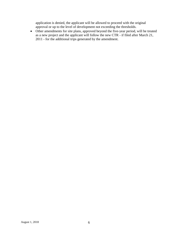application is denied, the applicant will be allowed to proceed with the original approval or up to the level of development not exceeding the thresholds.

• Other amendments for site plans, approved beyond the five-year period, will be treated as a new project and the applicant will follow the new CTR - if filed after March 21, 2011 - for the additional trips generated by the amendment.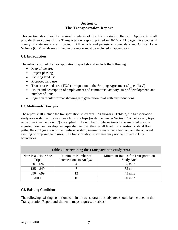## **Section C The Transportation Report**

This section describes the required contents of the Transportation Report. Applicants shall provide three copies of the Transportation Report, printed on 8-1/2 x 11 pages, five copies if county or state roads are impacted. All vehicle and pedestrian count data and Critical Lane Volume (CLV) analyses utilized in the report must be included in appendices.

#### **C1. Introduction**

The introduction of the Transportation Report should include the following:

- Map of the area
- Project phasing
- Existing land use
- Proposed land use
- Transit-oriented area (TOA) designation in the Scoping Agreement (Appendix C)
- Hours and description of employment and commercial activity, size of development, and number of units
- Figure in tabular format showing trip generation total with any reductions

#### **C2. Multimodal Analysis**

The report shall include the transportation study area. As shown in Table 2, the transportation study area is defined by new peak hour site trips (as defined under Section C5), before any trips reductions (See Section C7) are applied. The number of intersections to be analyzed may be adjusted based on development-specific features, the overall level of congestion, critical flow paths, the configuration of the roadway system, natural or man-made barriers, and the adjacent existing or proposed land uses. The transportation study area may not be limited to City boundaries.

| <b>Table 2: Determining the Transportation Study Area</b> |                          |                                   |  |  |
|-----------------------------------------------------------|--------------------------|-----------------------------------|--|--|
| New Peak Hour Site                                        | Minimum Number of        | Minimum Radius for Transportation |  |  |
| <b>Trips</b>                                              | Intersections to Analyze | Study Area                        |  |  |
| $30 - 124$                                                |                          | $.25$ mile                        |  |  |
| $125 - 349$                                               |                          | $.35$ mile                        |  |  |
| $350 - 699$                                               | 12                       | .45 mile                          |  |  |
| $700 +$                                                   |                          | .50 mile                          |  |  |

#### **C3. Existing Conditions**

The following existing conditions within the transportation study area should be included in the Transportation Report and shown in maps, figures, or tables: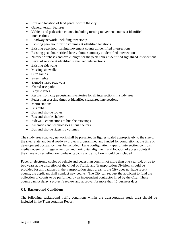- Size and location of land parcel within the city
- General terrain features
- Vehicle and pedestrian counts, including turning movement counts at identified intersections
- Roadway network, including ownership
- Existing peak hour traffic volumes at identified locations
- Existing peak hour turning movement counts at identified intersections
- Existing peak hour critical lane volume summary at identified intersections
- Number of phases and cycle length for the peak hour at identified signalized intersections
- Level of service at identified signalized intersections
- Existing sidewalks
- Missing sidewalks
- Curb ramps
- Street lights
- Signed-shared roadways
- Shared-use paths
- Bicycle lanes
- Results from city pedestrian inventories for all intersections in study area
- Pedestrian crossing times at identified signalized intersections
- Metro stations
- Bus hubs
- Bus and shuttle routes
- Bus and shuttle shelters
- Sidewalk connections to bus shelters/stops
- Amenities and technologies at bus shelters
- Bus and shuttle ridership volumes

The study area roadway network shall be presented in figures scaled appropriately to the size of the site. State and local roadway projects programmed and funded for completion at the time of development occupancy must be included. Lane configuration, types of intersection controls, median openings, irregular vertical and horizontal alignment, and location of access points if they have a direct effect on roadway capacity or traffic flow should be included.

Paper or electronic copies of vehicle and pedestrian counts, not more than one year old, or up to two years at the discretion of the Chief of Traffic and Transportation Division, should be provided for all roadways in the transportation study area. If the City does not have recent counts, the applicant shall conduct new counts. The City can request the applicant to fund the collection of counts to be performed by an independent contractor hired by the City. These counts cannot delay a project's review and approval for more than 15 business days.

#### **C4. Background Conditions**

The following background traffic conditions within the transportation study area should be included in the Transportation Report: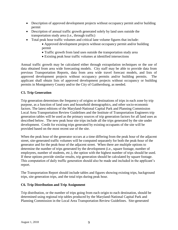- Description of approved development projects without occupancy permit and/or building permit
- Description of annual traffic growth generated solely by land uses outside the transportation study area (i.e., through traffic)
- Total peak hour traffic volumes and critical lane volume figures that include:
	- Approved development projects without occupancy permit and/or building permit
	- Traffic growth from land uses outside the transportation study area
	- Existing peak hour traffic volumes at identified intersections

Annual traffic growth may be calculated either through extrapolation techniques or the use of data obtained from area wide forecasting models. City staff may be able to provide data from previous Transportation Reports, data from area wide travel forecast models, and lists of approved development projects without occupancy permits and/or building permits. The applicant shall obtain lists of approved development projects without occupancy or building permits in Montgomery County and/or the City of Gaithersburg, as needed.

#### **C5. Trip Generation**

Trip generation determines the frequency of origins or destinations of trips in each zone by trip purpose, as a function of land uses and household demographics, and other socio-economic factors. The latest editions of the Maryland-National Capital Park and Planning Commission Local Area Transportation Review Guidelines and the Institute of Transportation Engineers trip generation tables will be used as the primary sources of trip generation factors for all land uses as described below. The new peak hour site trips include all the trips generated by the site under development. Credit for existing trips generated by existing occupants of the site will be provided based on the most recent use of the site.

When the peak hour of the generator occurs at a time differing from the peak hour of the adjacent street, site-generated traffic volumes will be computed separately for both the peak-hour of the generator and for the peak-hour of the adjacent street. When there are multiple options to determine the number of trips generated by the development (i.e., square footage, number of employees, number of students, etc.), the option with the highest number of trips should be used. If these options provide similar results, trip generation should be calculated by square footage. This computation of daily traffic generation should also be made and included in the applicant's report.

The Transportation Report should include tables and figures showing existing trips, background trips, site generation trips, and the total trips during peak hour.

#### **C6. Trip Distribution and Trip Assignment**

Trip distribution, or the number of trips going from each origin to each destination, should be determined using regional trip tables produced by the Maryland-National Capital Park and Planning Commission in the Local Area Transportation Review Guidelines. Site-generated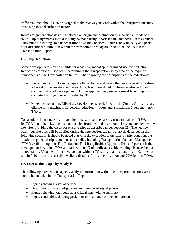traffic volumes should also be assigned to the roadway network within the transportation study area using these distribution factors.

Route assignment allocates trips between an origin and destination by a particular mode to a route. Trip assignments should initially be made using "shortest path" methods. Reassignment using multiple routings to balance traffic flows may be used. Figures showing daily and peak hour directional distribution within the transportation study area should be included in the Transportation Report.

#### **C7. Trip Reduction**

Some developments may be eligible for a pass-by, modal split, or mixed-use trip reduction. Reductions cannot be used when determining the transportation study area or the required components of the Transportation Report. The following are descriptions of the reductions:

- Pass-by reduction: Pass-by trips are those that would have otherwise traveled on a street adjacent to the development even if the development had not been constructed. For commercial retail development only, the applicant may make reasonable assumptions consistent with guidance provided by ITE.
- Mixed use reduction: Mixed use developments, as defined by the Zoning Ordinance, are eligible for a maximum 10 percent reduction in TOAs and a maximum 5 percent in non-TOAs.

To calculate the net new peak-hour site trips, subtract the pass-by trips, modal split (15%, only for TOAs) and the mixed-use reduction trips from the total peak-hour trips generated by the new site, after providing the credit for existing trips as described under section C5. The net new peak-hour site trips will be applied during the intersection capacity analysis described in the following section. It should be noted that with the exception of the pass-by trip reduction, the maximum potential trip reductions and credits, including Transportation Demand Management (TDM) credit through the Trip Reduction Tool if applicable (Appendix D), is 40 percent if the development is within a TOA and falls within 1/2 of a mile accessible walking distance from a metro station, 30 percent for a development within a TOA area that is greater than 1/2 mile but within 7/10 of a mile accessible walking distance from a metro station and 20% for non-TOAs.

#### **C8. Intersection Capacity Analysis**

The following intersection capacity analysis information within the transportation study area should be included in the Transportation Report:

- Figures showing level of service
- Description of lane configuration and number of signal phases
- Figures showing total peak hour critical lane volume summary
- Figures and tables showing peak hour critical lane volume comparison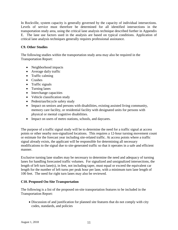In Rockville, system capacity is generally governed by the capacity of individual intersections. Levels of service must therefore be determined for all identified intersections in the transportation study area, using the critical lane analysis technique described further in Appendix E. The lane use factors used in the analysis are based on typical conditions. Application of critical lane analysis techniques generally requires professional assistance.

#### **C9. Other Studies**

The following studies within the transportation study area may also be required in the Transportation Report:

- Neighborhood impacts
- Average daily traffic
- Traffic calming
- Crashes
- Traffic signals
- Turning lanes
- Interchange capacities
- Vehicle classification study
- Pedestrian/bicycle safety study
- Impact on seniors and persons with disabilities, existing assisted living community, memory care facility, or residential facility with designated units for persons with physical or mental cognitive disabilities.
- Impact on users of metro stations, schools, and daycares.

The purpose of a traffic signal study will be to determine the need for a traffic signal at access points or other nearby non-signalized locations. This requires a 12-hour turning movement count or estimate for the forecast year including site-related traffic. At access points where a traffic signal already exists, the applicant will be responsible for determining all necessary modifications to the signal due to site-generated traffic so that it operates in a safe and efficient manner.

Exclusive turning lane studies may be necessary to determine the need and adequacy of turning lanes for handling forecasted traffic volumes. For signalized and unsignalized intersections, the length of left turn lane(s), in feet, not including taper, must equal or exceed the equivalent car length for the number of left turns per peak hour per lane, with a minimum turn lane length of 100 feet. The need for right turn lanes may also be reviewed.

#### **C10. Proposed On-Site Transportation**

The following is a list of the proposed on-site transportation features to be included in the Transportation Report:

• Discussion of and justification for planned site features that do not comply with city codes, standards, and policies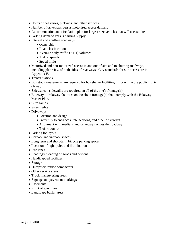- Hours of deliveries, pick-ups, and other services
- Number of driveways versus motorized access demand
- Accommodation and circulation plan for largest size vehicles that will access site
- Parking demand versus parking supply
- Internal and abutting roadways:
	- Ownership
	- Road classification
	- Average daily traffic (ADT) volumes
	- Traffic speeds
	- Speed limits
- Motorized and non-motorized access in and out of site and to abutting roadways, including plan view of both sides of roadways. City standards for site access are in Appendix F.
- Transit stations
- Bus stops easements are required for bus shelter facilities, if not within the public rightof-way
- Sidewalks sidewalks are required on all of the site's frontage(s)
- Bikeways bikeway facilities on the site's frontage(s) shall comply with the Bikeway Master Plan.
- Curb ramps
- Street lights
- Driveways:
	- Location and design
	- Proximity to entrances, intersections, and other driveways
	- Alignment with medians and driveways across the roadway
	- Traffic control
- Parking lot layout
- Carpool and vanpool spaces
- Long term and short-term bicycle parking spaces
- Location of light poles and illumination
- Fire lanes
- Loading/unloading of goods and persons
- Handicapped facilities
- Storage
- Dumpsters/refuse compactors
- Other service areas
- Truck maneuvering areas
- Signage and pavement markings
- Easements
- Right of way lines
- Landscape buffer areas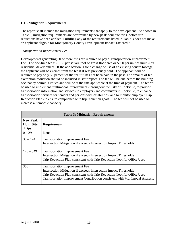#### **C11. Mitigation Requirements**

The report shall include the mitigation requirements that apply to the development. As shown in Table 3, mitigation requirements are determined by new peak hour site trips, before trip reductions have been applied. Fulfilling any of the requirements listed in Table 3 does not make an applicant eligible for Montgomery County Development Impact Tax credit.

#### *Transportation Improvement Fee*

Developments generating 30 or more trips are required to pay a Transportation Improvement Fee. The one-time fee is \$1.50 per square foot of gross floor area or \$900 per unit of multi-unit residential development. If the application is for a change of use of an existing square footage, the applicant will be exempt from the fee if it was previously paid. The applicant will be required to pay only 50 percent of the fee if it has not been paid in the past. The amount of fee exemption/reduction should be included in staff report. The fee will be due before the building occupancy permit is issued and will be at the rate applicable at the time of payment. The fee will be used to implement multimodal improvements throughout the City of Rockville, to provide transportation information and services to employers and commuters in Rockville, to enhance transportation services for seniors and persons with disabilities, and to monitor employer Trip Reduction Plans to ensure compliance with trip reduction goals. The fee will not be used to increase automobile capacity.

| <b>Table 3: Mitigation Requirements</b>             |                                                                                                                                                                                                                                                                             |  |  |
|-----------------------------------------------------|-----------------------------------------------------------------------------------------------------------------------------------------------------------------------------------------------------------------------------------------------------------------------------|--|--|
| <b>New Peak</b><br><b>Hour Site</b><br><b>Trips</b> | Requirement                                                                                                                                                                                                                                                                 |  |  |
| $0 - 29$                                            | None                                                                                                                                                                                                                                                                        |  |  |
| $30 - 124$                                          | <b>Transportation Improvement Fee</b><br>Intersection Mitigation if exceeds Intersection Impact Thresholds                                                                                                                                                                  |  |  |
| $125 - 349$                                         | <b>Transportation Improvement Fee</b><br>Intersection Mitigation if exceeds Intersection Impact Thresholds<br>Trip Reduction Plan consistent with Trip Reduction Tool for Office Uses                                                                                       |  |  |
| $350 +$                                             | <b>Transportation Improvement Fee</b><br>Intersection Mitigation if exceeds Intersection Impact Thresholds<br>Trip Reduction Plan consistent with Trip Reduction Tool for Office Uses<br><b>Transportation Improvement Contribution consistent with Multimodal Analysis</b> |  |  |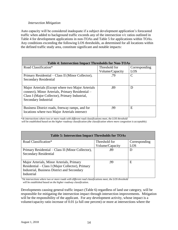#### *Intersection Mitigation*

Auto capacity will be considered inadequate if a subject development application's forecasted traffic when added to background traffic exceeds any of the intersection v/c ratios outlined in Table 4 for development applications in non-TOAs and Table 5 for applications within TOAs. Any conditions exceeding the following LOS thresholds, as determined for all locations within the defined traffic study area, constitute significant and notable impacts:

| <b>Table 4: Intersection Impact Thresholds for Non-TOAs</b> |                 |               |  |  |  |
|-------------------------------------------------------------|-----------------|---------------|--|--|--|
| Road Classification*                                        | Threshold for   | Corresponding |  |  |  |
|                                                             | Volume/Capacity | LOS           |  |  |  |
| Primary Residential – Class II (Minor Collector),           | .79             | C             |  |  |  |
| <b>Secondary Residential</b>                                |                 |               |  |  |  |
|                                                             |                 |               |  |  |  |
| Major Arterials (Except where two Major Arterials           | .89             | D             |  |  |  |
| connect), Minor Arterials, Primary Residential -            |                 |               |  |  |  |
| Class I (Major Collector), Primary Industrial,              |                 |               |  |  |  |
| Secondary Industrial                                        |                 |               |  |  |  |
|                                                             |                 |               |  |  |  |
| Business District roads, freeway ramps, and for             | .99             | E             |  |  |  |
| locations where two Major Arterials intersect               |                 |               |  |  |  |
|                                                             |                 |               |  |  |  |

\**At intersections where two or more roads with different road classifications meet, the LOS threshold*

*will be established based on the higher roadway classification (the classification where more congestion is acceptable).*

| <b>Table 5: Intersection Impact Thresholds for TOAs</b>                                                                                                    |                 |               |  |  |
|------------------------------------------------------------------------------------------------------------------------------------------------------------|-----------------|---------------|--|--|
| Road Classification*                                                                                                                                       | Threshold for   | Corresponding |  |  |
|                                                                                                                                                            | Volume/Capacity | LOS           |  |  |
| Primary Residential – Class II (Minor Collector),<br><b>Secondary Residential</b>                                                                          | .89             | Ð             |  |  |
| Major Arterials, Minor Arterials, Primary<br>Residential – Class I (Major Collector), Primary<br>Industrial, Business District and Secondary<br>Industrial | .99             | Ε             |  |  |

\**At intersections where two or more roads with different road classifications meet, the LOS threshold will be established based on the higher roadway classification.*

Developments causing general traffic impact (Table 6) regardless of land use category, will be responsible for mitigating the intersection impact through intersection improvements. Mitigation will be the responsibility of the applicant. For any development activity, whose impact is a volume/capacity ratio increase of 0.01 (a full one percent) or more at intersections where the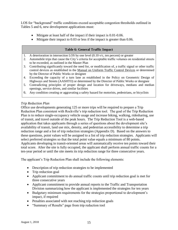LOS for "background" traffic conditions exceed acceptable congestion thresholds outlined in Tables 5 and 6, new development applications must:

- Mitigate at least half of the impact if their impact is 0.01-0.06.
- Mitigate their impact to 0.03 or less if the impact is greater than 0.06.

#### **Table 6: General Traffic Impact**

- 1. A deterioration in intersection LOS by one level (0.10 v/c, ten percent) or greater
- 2. Automobile trips that cause the City's criteria for acceptable traffic volumes on residential streets to be exceeded, as outlined in the Master Plan
- 3. Contributing significantly toward the need for, or modification of, a traffic signal or other traffic control devices as established in the Manual on Uniform Traffic Control Devices or determined by the Director of Public Works or designee
- 4. Exceeding the capacity of a turn lane as established in the Policy on Geometric Design of Highways and Streets (AASHTO) or determined by the Director of Public Works or designee
- 5. Contradicting principles of proper design and location for driveways, medians and median openings, service drives, and similar facilities
- 6. Any condition creating or aggravating a safety hazard for motorists, pedestrians, or bicyclists

#### *Trip Reduction Plan*

Office use developments generating 125 or more trips will be required to prepare a Trip Reduction Plan consistent with Rockville's trip reduction tool. The goal of the Trip Reduction Plan is to reduce single-occupancy vehicle usage and increase biking, walking, ridesharing, use of transit, and travel outside of the peak hours. The Trip Reduction Tool is a web-based application that takes applicants through a series of questions about the development site's availability of transit, land use mix, density, and pedestrian accessibility to determine a trip reduction range and a list of trip reduction strategies (Appendix D). Based on the answers to these questions, point values will be assigned to a list of trip reduction strategies. Applicants will select preferred strategies so that the total point value equals a minimum of 80 points. Applicants developing in transit-oriented areas will automatically receive ten points toward their total score. After the site is fully occupied, the applicant shall perform annual traffic counts for a ten-year period or until the site meets its trip reduction range for three consecutive years.

The applicant's Trip Reduction Plan shall include the following elements:

- Description of trip reduction strategies to be implemented
- Trip reduction goal
- Applicant commitment to do annual traffic counts until trip reduction goal is met for three consecutive years
- Applicant commitment to provide annual reports to the Traffic and Transportation Division summarizing how the applicant is implemented the strategies for ten years
- Budgetary minimum requirements for the strategies proportional to development's impact, if required
- Penalties associated with not reaching trip reduction goals
- "Summary of Results" page from trip reduction tool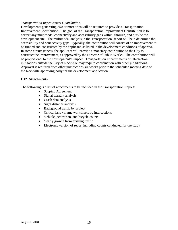#### *Transportation Improvement Contribution*

Developments generating 350 or more trips will be required to provide a Transportation Improvement Contribution. The goal of the Transportation Improvement Contribution is to correct any multimodal connectivity and accessibility gaps within, through, and outside the development site. The multimodal analysis in the Transportation Report will help determine the accessibility and connectivity gaps. Typically, the contribution will consist of an improvement to be funded and constructed by the applicant, as listed in the development conditions of approval. In some circumstances, the applicant will provide a monetary contribution to the City to construct the improvement, as approved by the Director of Public Works. The contribution will be proportional to the development's impact. Transportation improvements or intersection mitigations outside the City of Rockville may require coordination with other jurisdictions. Approval is required from other jurisdictions six weeks prior to the scheduled meeting date of the Rockville approving body for the development application.

#### **C12. Attachments**

The following is a list of attachments to be included in the Transportation Report:

- Scoping Agreement
- Signal warrant analysis
- Crash data analysis
- Sight distance analysis
- Background traffic by project
- Critical lane volume worksheets by intersections
- Vehicle, pedestrian, and bicycle counts
- Yearly growth from existing traffic
- Electronic version of report including counts conducted for the study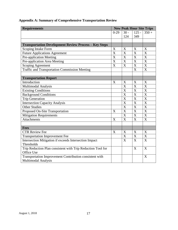| <b>Requirements</b>                                          |                       | <b>New Peak Hour Site Trips</b> |                           |                           |  |
|--------------------------------------------------------------|-----------------------|---------------------------------|---------------------------|---------------------------|--|
|                                                              | $0-29$                | $30 -$                          | $125 -$                   | $350 +$                   |  |
|                                                              |                       | 124                             | 349                       |                           |  |
|                                                              |                       |                                 |                           |                           |  |
| <b>Transportation Development Review Process - Key Steps</b> |                       |                                 |                           |                           |  |
| Scoping Intake Form                                          | X                     | X                               | X                         | X                         |  |
| <b>Future Applications Agreement</b>                         | $\overline{X}$        | $\overline{\text{X}}$           | $\overline{\text{X}}$     | $\overline{\text{X}}$     |  |
| Pre-application Meeting                                      | $\overline{\text{X}}$ | X                               | $\boldsymbol{X}$          | $\boldsymbol{\mathrm{X}}$ |  |
| Pre-application Area Meeting                                 | $\overline{\text{X}}$ | X                               | X                         | X                         |  |
| Scoping Agreement                                            | $\overline{\text{X}}$ | $\overline{\text{X}}$           | $\boldsymbol{\mathrm{X}}$ | $\overline{\text{X}}$     |  |
| <b>Traffic and Transportation Commission Meeting</b>         |                       |                                 | $\overline{\mathrm{X}}$   | $\overline{\text{X}}$     |  |
|                                                              |                       |                                 |                           |                           |  |
| <b>Transportation Report</b>                                 |                       |                                 |                           |                           |  |
| Introduction                                                 | X                     | X                               | X                         | X                         |  |
| Multimodal Analysis                                          |                       | $\overline{\text{X}}$           | X                         | X                         |  |
| <b>Existing Conditions</b>                                   |                       | $\overline{\text{X}}$           | $\boldsymbol{X}$          | X                         |  |
| <b>Background Conditions</b>                                 |                       | X                               | X                         | $\overline{\text{X}}$     |  |
| <b>Trip Generation</b>                                       |                       | $\overline{\text{X}}$           | $\overline{\text{X}}$     | $\overline{X}$            |  |
| <b>Intersection Capacity Analysis</b>                        |                       | X                               | X                         | $\boldsymbol{\mathrm{X}}$ |  |
| <b>Other Studies</b>                                         |                       | X                               | X                         | X                         |  |
| Proposed On-Site Transportation                              | X                     | $\bf X$                         | $\boldsymbol{\mathrm{X}}$ | X                         |  |
| <b>Mitigation Requirements</b>                               |                       | $\overline{X}$                  | $\overline{\text{X}}$     | $\overline{\mathbf{X}}$   |  |
| <b>Attachments</b>                                           | X                     | X                               | X                         | $\overline{X}$            |  |
|                                                              |                       |                                 |                           |                           |  |
| <b>Fees</b>                                                  |                       |                                 |                           |                           |  |
| <b>CTR Review Fee</b>                                        | X                     | X                               | X                         | X                         |  |
| <b>Transportation Improvement Fee</b>                        |                       | X                               | X                         | X                         |  |
| Intersection Mitigation if exceeds Intersection Impact       |                       | X                               | X                         | X                         |  |
| Thresholds                                                   |                       |                                 |                           |                           |  |
| Trip Reduction Plan consistent with Trip Reduction Tool for  |                       |                                 | X                         | X                         |  |
| Office Use                                                   |                       |                                 |                           |                           |  |
| Transportation Improvement Contribution consistent with      |                       |                                 |                           | X                         |  |
| Multimodal Analysis                                          |                       |                                 |                           |                           |  |

### **Appendix A: Summary of Comprehensive Transportation Review**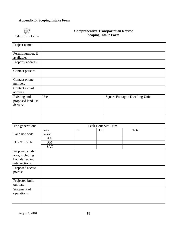#### **Appendix B: Scoping Intake Form**



#### **Comprehensive Transportation Review Scoping Intake Form**

| Project name:                                                         |                               |    |     |                      |                                 |
|-----------------------------------------------------------------------|-------------------------------|----|-----|----------------------|---------------------------------|
| Permit number, if<br>available:                                       |                               |    |     |                      |                                 |
| Property address:                                                     |                               |    |     |                      |                                 |
| Contact person:                                                       |                               |    |     |                      |                                 |
| Contact phone<br>number:                                              |                               |    |     |                      |                                 |
| Contact e-mail<br>address:                                            |                               |    |     |                      |                                 |
| Existing and<br>proposed land use<br>density:                         | Use                           |    |     |                      | Square Footage / Dwelling Units |
|                                                                       |                               |    |     |                      |                                 |
|                                                                       |                               |    |     |                      |                                 |
|                                                                       |                               |    |     |                      |                                 |
| Trip generation:<br>Land use code:                                    | Peak<br>Period                | In | Out | Peak Hour Site Trips | Total                           |
| ITE or LATR:                                                          | AM<br><b>PM</b><br><b>SAT</b> |    |     |                      |                                 |
| Proposed study<br>area, including<br>boundaries and<br>intersections: |                               |    |     |                      |                                 |
| Proposed access<br>points:                                            |                               |    |     |                      |                                 |
| Projected build<br>out date:                                          |                               |    |     |                      |                                 |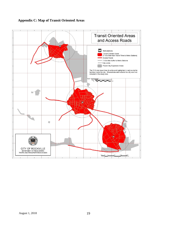

#### **Appendix C: Map of Transit Oriented Areas**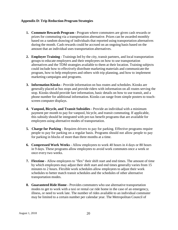#### **Appendix D: Trip Reduction Program Strategies**

- **1. Commute Rewards Program -** Program where commuters are given cash rewards or prizes for commuting via a transportation alternative. Prizes can be awarded monthly based on a random drawing of individuals that reported using transportation alternatives during the month. Cash rewards could be accrued on an ongoing basis based on the amount that an individual uses transportation alternatives.
- **2. Employer Training -** Trainings led by the city, transit partners, and local transportation groups to educate employers and their employees on how to use transportation alternatives and the TDM strategies available to them at their location. Training subjects could include how to effectively distribute marketing materials and communicate the program, how to help employees and others with trip planning, and how to implement marketing campaigns and programs.
- **3. Information Kiosks -** Provide information on bus routes and schedules. Kiosks are generally placed at bus stops and provide riders with information on all routes serving the stop. Kiosks should provide fare information, basic details on how to use transit, and a phone number for additional information. Kiosks can range from simple posters to touchscreen computer displays.
- **4. Vanpool, Bicycle, and Transit Subsidies -** Provide an individual with a minimum payment per month to pay for vanpool, bicycle, and transit commuting. If applicable, this subsidy should be integrated with pre-tax benefit programs that are available for employees using alternative modes of transportation.
- **5. Charge for Parking -** Requires drivers to pay for parking. Effective programs require people to pay for parking on a regular basis. Programs should not allow people to pay for parking in blocks of more than three months at a time.
- **6. Compressed Work Weeks -** Allow employees to work 40 hours in 4 days or 80 hours in 9 days. These programs allow employees to avoid work commutes once a week or once every two weeks.
- **7. Flextime -** Allow employees to "flex" their shift start and end times. The amount of time by which employees may adjust their shift start and end times generally varies from 15 minutes to 2 hours. Flexible work schedules allow employees to adjust their work schedules to better match transit schedules and the schedules of other alternative transportation modes.
- **8. Guaranteed Ride Home -** Provides commuters who use alternative transportation modes to get to work with a taxi or rental car ride home in the case of an emergency, illness, or need to work late. The number of rides available to an individual commuter may be limited to a certain number per calendar year. The Metropolitan Council of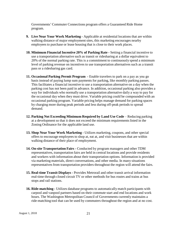Governments' Commuter Connections program offers a Guaranteed Ride Home program.

- **9. Live Near Your Work Marketing -** Applicable at residential locations that are within walking distance of major employment sites, this marketing encourages nearby employees to purchase or lease housing that is close to their work places.
- **10. Minimum Financial Incentive 20% of Parking Rate -** Setting a financial incentive to use a transportation alternative such as transit or ridesharing at a dollar equivalent to 20% of the normal parking rate. This is a commitment to continuously spend a minimum level of parking revenue on incentives to use transportation alternatives such as a transit pass or a ridesharing gas card.
- **11. Occasional Parking Permit Program -** Enable travelers to park on a pay as you go basis instead of paying lump sum payments for parking, like monthly parking passes. This facilitates a financial incentive to use a transportation alternative on a day when the parking cost has not been paid in advance. In addition, occasional parking also provides a way for individuals who normally use a transportation alternative daily a way to pay for the occasional day when they must drive. Variable pricing could be compounded with an occasional parking program. Variable pricing helps manage demand for parking spaces by charging more during peak periods and less during off-peak periods to spread demand.
- **12. Parking Not Exceeding Minimum Required by Land Use Code** Reducing parking at a development so that it does not exceed the minimum requirements listed in the Zoning Ordinance for the applicable land use.
- **13. Shop Near Your Work Marketing -** Utilizes marketing, coupons, and other special offers to encourage employees to shop at, eat at, and visit businesses that are within walking distance of their place of employment.
- **14. On-site Transportation Fairs -** Conducted by program managers and other TDM representatives, transportation fairs are held in central locations and provide residents and workers with information about their transportation options. Information is provided via marketing materials, direct conversations, and other media. In many situations representatives from transportation providers throughout the region will attend the fairs.
- **15. Real-time Transit Displays -** Provides Metrorail and other transit arrival information real-time through closed circuit TV or other methods for bus routes and trains at bus stops and rail stations.
- **16. Ride-matching -** Utilizes database programs to automatically match participants with carpool and vanpool partners based on their commute start and end locations and work hours. The Washington Metropolitan Council of Governments currently maintains a ride-matching tool that can be used by commuters throughout the region and at no cost.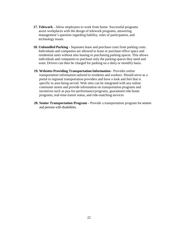- **17. Telework -** Allow employees to work from home. Successful programs assist workplaces with the design of telework programs, answering management's question regarding liability, rules of participation, and technology issues.
- **18. Unbundled Parking -** Separates lease and purchase costs from parking costs. Individuals and companies are allowed to lease or purchase office space and residential units without also leasing or purchasing parking spaces. This allows individuals and companies to purchase only the parking spaces they need and want. Drivers can then be charged for parking on a daily or monthly basis.
- **19. Websites Providing Transportation Information -** Provides online transportation information tailored to residents and workers. Should serve as a portal to regional transportation providers and have a look and feel that is specific to area being served. Web sites can be integrated with any online commuter stores and provide information on transportation programs and incentives such as pay-for-performance programs, guaranteed ride home programs, real-time transit status, and ride-matching services
- **20. Senior Transportation Program –** Provide a transportation program for seniors and persons with disabilities.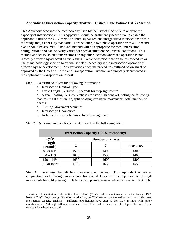#### **Appendix E: Intersection Capacity Analysis—Critical Lane Volume (CLV) Method**

This Appendix describes the methodology used by the City of Rockville to analyze the capacity of intersections.<sup>1</sup> This Appendix should be sufficiently descriptive to enable the applicant to utilize the CLV method at both signalized and unsignalized intersections within the study area, as per City standards. For the latter, a two-phase operation with a 90 second cycle should be assumed. The CLV method will be appropriate for most intersection configurations and can be easily varied for special situations or unusual conditions. This method applies to isolated intersections or any other location where the operation is not radically affected by adjacent traffic signals. Conversely, modification to this procedure or use of methodology specific to arterial streets is necessary if the intersection operation is affected by the development. Any variations from the procedures outlined below must be approved by the Chief of Traffic and Transportation Division and properly documented in the applicant's Transportation Report.

Step 1. Determine/Collect the following information

- a. Intersection Control Type
- b. Cycle Length (Assume 90 seconds for stop sign control)

c. Signal Phasing (Assume 2 phases for stop sign control), noting the following features: right turn on red, split phasing, exclusive movements, total number of phases

- d. Turning Movement Volumes
- e. Intersection Geometries

 $\overline{a}$ 

f. Note the following features: free-flow right lanes

|  |  | Step 2. Determine intersection capacity based on the following table: |
|--|--|-----------------------------------------------------------------------|
|  |  |                                                                       |

| Intersection Capacity (100% of capacity) |                         |      |           |  |
|------------------------------------------|-------------------------|------|-----------|--|
| Cycle                                    | <b>Number of Phases</b> |      |           |  |
| Length<br>(seconds)                      | $\mathbf{2}$            | 3    | 4 or more |  |
| 89 or less                               | 1500                    | 1400 | 1300      |  |
| $90 - 119$                               | 1600                    | 1500 | 1400      |  |
| $120 - 149$                              | 1650                    | 1600 | 1500      |  |
| 150 or more                              | 1700                    | 1650 | 1550      |  |

Step 3. Determine the left turn movement equivalent: This equivalent is use in conjunction with through movements for shared lanes or in comparison to through movements for split phasing. Left turns as opposing movements are calculated in Step 6.

<sup>&</sup>lt;sup>1</sup> A technical description of the critical lane volume (CLV) method was introduced in the January 1971 issue of *Traffic Engineering*. Since its introduction, the CLV method has evolved into a more sophisticated intersection capacity analysis. Different jurisdictions have adopted the CLV method with minor modifications. Although different versions of the CLV method have been developed, the same basic concepts have been embraced.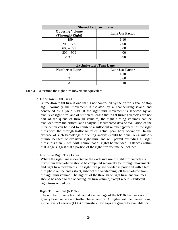| <b>Shared Left Turn Lane</b>              |                        |  |
|-------------------------------------------|------------------------|--|
| <b>Opposing Volume</b><br>(Through+Right) | <b>Lane Use Factor</b> |  |
| < 199                                     | 1.10                   |  |
| $200 - 599$                               | 2.00                   |  |
| $600 - 799$                               | 3.00                   |  |
| $800 - 999$                               | 4.00                   |  |
| >999                                      | 5.00                   |  |

| <b>Exclusive Left Turn Lane</b> |                        |  |
|---------------------------------|------------------------|--|
| <b>Number of Lanes</b>          | <b>Lane Use Factor</b> |  |
|                                 | 1.10                   |  |
|                                 | 0.60                   |  |
|                                 | በ 40                   |  |

- Step 4. Determine the right turn movement equivalent
	- a. Free-Flow Right Turns

A free-flow right turn is one that is not controlled by the traffic signal or stop sign. Normally the movement is isolated by a channelizing island and controlled by a yield sign. If the right turn movement is serviced by an exclusive right turn lane of sufficient length that right turning vehicles are not part of the queue of through vehicles, the right turning volumes can be excluded from the critical lane analysis. Documented data or evaluation of the intersection can be used to combine a sufficient number (percent) of the right turns with the through traffic to reflect actual peak hour operations. In the absence of such knowledge a queuing analysis could be done. As a rule-ofthumb 150 feet of exclusive right turn lane will permit excluding all right turns; less than 50 feet will require that all rights be included. Distances within that range suggest that a portion of the right turn volume be included.

b. Exclusive Right Turn Lanes

Where the right lane is devoted to the exclusive use of right turn vehicles, a maximum lane volume should be computed separately for through movements and right turn movements. If a right turn phase overlap is provided with a left turn phase on the cross street, subtract the overlapping left turn volume from the right turn volume. The highest of the through or right turn lane volumes should be added to the opposing left turn volume, except where significant right turns on red occur.

c. Right Turn on Red (RTOR)

The number of vehicles that can take advantage of the RTOR feature vary greatly based on site and traffic characteristics. At higher volume intersections, as the level of service (LOS) diminishes, few gaps are generally available for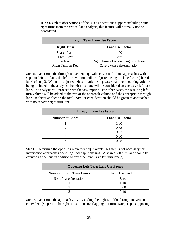| <b>Right Turn Lane Use Factor</b> |                                             |  |
|-----------------------------------|---------------------------------------------|--|
| <b>Right Turn</b>                 | <b>Lane Use Factor</b>                      |  |
| <b>Shared Lane</b>                | 1.00                                        |  |
| Free-Flow                         | Zero                                        |  |
| Exclusive                         | <b>Right Turns - Overlapping Left Turns</b> |  |
| Right Turn on Red                 | Case-by-case determination                  |  |

RTOR. Unless observations of the RTOR operations support excluding some right turns from the critical lane analysis, this feature will normally not be considered.

Step 5. Determine the through movement equivalent: On multi-lane approaches with no separate left turn lane, the left turn volume will be adjusted using the lane factor (shared lane) of step 3. When the adjusted left turn volume is greater than the remaining volume being included in the analysis, the left most lane will be considered an exclusive left turn lane. The analysis will proceed with that assumption. For other cases, the resulting left turn volume will be added to the rest of the approach volume and the appropriate through lane use factor applied to the total. Similar consideration should be given to approaches with no separate right turn lane.

| <b>Through Lane Use Factor</b> |                        |
|--------------------------------|------------------------|
| <b>Number of Lanes</b>         | <b>Lane Use Factor</b> |
|                                | 1.00                   |
|                                | 0.53                   |
|                                | 0.37                   |
|                                | 0.30                   |
|                                | $\Delta$ 25            |

Step 6. Determine the opposing movement equivalent: This step is not necessary for intersection approaches operating under split phasing. A shared left turn lane should be counted as one lane in addition to any other exclusive left turn lane(s).

| <b>Opposing Left Turn Lane Use Factor</b> |                        |  |
|-------------------------------------------|------------------------|--|
| <b>Number of Left Turn Lanes</b>          | <b>Lane Use Factor</b> |  |
| <b>Split Phase Operation</b>              | Zero                   |  |
|                                           | 1.10                   |  |
|                                           | 0.60                   |  |
|                                           |                        |  |

Step 7. Determine the approach CLV by adding the highest of the through movement equivalent (Step 5) or the right turns minus overlapping left turns (Step 4) plus opposing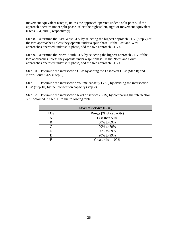movement equivalent (Step 6) unless the approach operates under a split phase. If the approach operates under split phase, select the highest left, right or movement equivalent (Steps 3, 4, and 5, respectively).

Step 8. Determine the East-West CLV by selecting the highest approach CLV (Step 7) of the two approaches unless they operate under a split phase. If the East and West approaches operated under split phase, add the two approach CLVs.

Step 9. Determine the North-South CLV by selecting the highest approach CLV of the two approaches unless they operate under a split phase. If the North and South approaches operated under split phase, add the two approach CLVs

Step 10. Determine the intersection CLV by adding the East-West CLV (Step 8) and North-South CLV (Step 9).

Step 11. Determine the intersection volume/capacity (V/C) by dividing the intersection CLV (step 10) by the intersection capacity (step 2).

Step 12. Determine the intersection level of service (LOS) by comparing the intersection V/C obtained in Step 11 to the following table:

| <b>Level of Service (LOS)</b> |                       |  |
|-------------------------------|-----------------------|--|
| <b>LOS</b>                    | Range (% of capacity) |  |
| А                             | Less than 59%         |  |
| В                             | 60% to 69%            |  |
| $\subset$                     | 70% to 79%            |  |
|                               | 80% to 89%            |  |
| E                             | 90% to 99%            |  |
| F                             | Greater than 100%     |  |